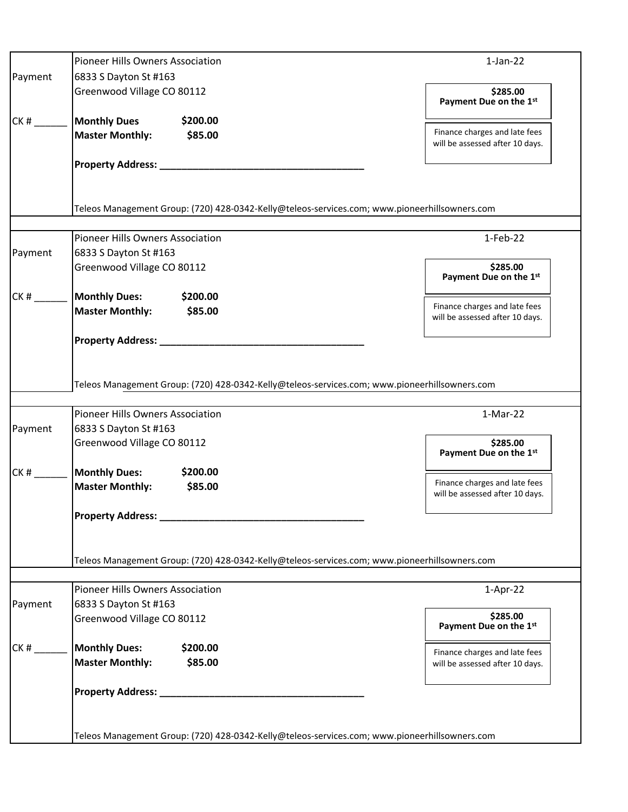|         | Pioneer Hills Owners Association                                                                                                         | $1-Jan-22$                                                       |
|---------|------------------------------------------------------------------------------------------------------------------------------------------|------------------------------------------------------------------|
| Payment | 6833 S Dayton St #163                                                                                                                    |                                                                  |
|         | Greenwood Village CO 80112                                                                                                               | \$285.00<br>Payment Due on the 1st                               |
| CK#     | \$200.00<br><b>Monthly Dues</b>                                                                                                          |                                                                  |
|         | <b>Master Monthly:</b><br>\$85.00                                                                                                        | Finance charges and late fees<br>will be assessed after 10 days. |
|         | Property Address: _________________________                                                                                              |                                                                  |
|         | Teleos Management Group: (720) 428-0342-Kelly@teleos-services.com; www.pioneerhillsowners.com                                            |                                                                  |
|         | <b>Pioneer Hills Owners Association</b>                                                                                                  | $1-Feb-22$                                                       |
|         | 6833 S Dayton St #163                                                                                                                    |                                                                  |
| Payment | Greenwood Village CO 80112                                                                                                               | \$285.00<br>Payment Due on the 1st                               |
| CK#     | <b>Monthly Dues:</b><br>\$200.00                                                                                                         |                                                                  |
|         | <b>Master Monthly:</b><br>\$85.00                                                                                                        | Finance charges and late fees<br>will be assessed after 10 days. |
|         | Property Address: _____________                                                                                                          |                                                                  |
|         | Teleos Management Group: (720) 428-0342-Kelly@teleos-services.com; www.pioneerhillsowners.com<br><b>Pioneer Hills Owners Association</b> | $1-Mar-22$                                                       |
| Payment | 6833 S Dayton St #163<br>Greenwood Village CO 80112                                                                                      | \$285.00<br>Payment Due on the 1st                               |
| CK#     | <b>Monthly Dues:</b><br>\$200.00                                                                                                         |                                                                  |
|         | <b>Master Monthly:</b><br>\$85.00                                                                                                        | Finance charges and late fees<br>will be assessed after 10 days. |
|         |                                                                                                                                          |                                                                  |
|         | Teleos Management Group: (720) 428-0342-Kelly@teleos-services.com; www.pioneerhillsowners.com                                            |                                                                  |
|         | Pioneer Hills Owners Association                                                                                                         | $1-Apr-22$                                                       |
| Payment | 6833 S Dayton St #163                                                                                                                    | \$285.00                                                         |
|         | Greenwood Village CO 80112                                                                                                               | Payment Due on the 1st                                           |
| CK#     | \$200.00<br><b>Monthly Dues:</b><br><b>Master Monthly:</b><br>\$85.00                                                                    | Finance charges and late fees<br>will be assessed after 10 days. |
|         | Property Address: _________                                                                                                              |                                                                  |
|         | Teleos Management Group: (720) 428-0342-Kelly@teleos-services.com; www.pioneerhillsowners.com                                            |                                                                  |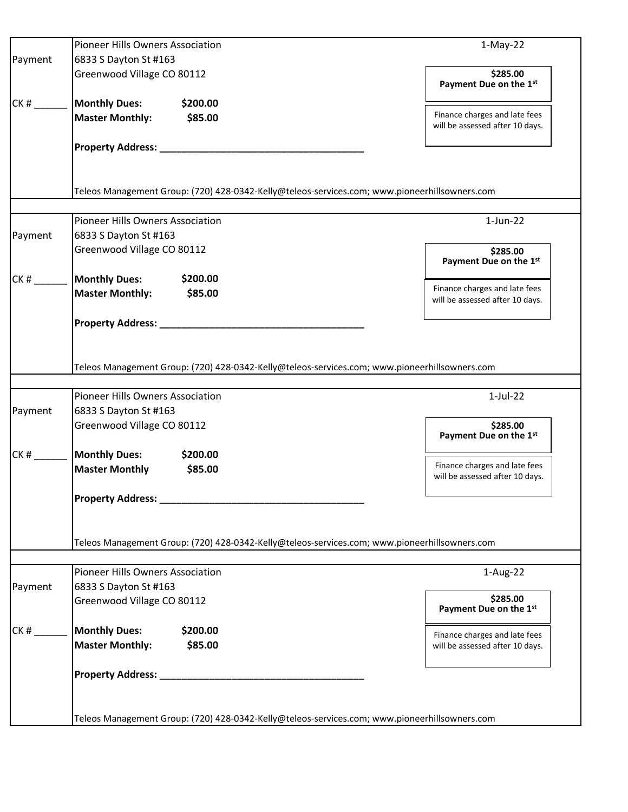| 6833 S Dayton St #163<br>Greenwood Village CO 80112                                           |                                                                                                                                                                                                                                                                                                    |
|-----------------------------------------------------------------------------------------------|----------------------------------------------------------------------------------------------------------------------------------------------------------------------------------------------------------------------------------------------------------------------------------------------------|
|                                                                                               |                                                                                                                                                                                                                                                                                                    |
|                                                                                               | \$285.00<br>Payment Due on the 1st                                                                                                                                                                                                                                                                 |
| <b>Monthly Dues:</b><br>\$200.00                                                              |                                                                                                                                                                                                                                                                                                    |
| <b>Master Monthly:</b><br>\$85.00                                                             | Finance charges and late fees<br>will be assessed after 10 days.                                                                                                                                                                                                                                   |
|                                                                                               |                                                                                                                                                                                                                                                                                                    |
| Teleos Management Group: (720) 428-0342-Kelly@teleos-services.com; www.pioneerhillsowners.com |                                                                                                                                                                                                                                                                                                    |
|                                                                                               | $1$ -Jun-22                                                                                                                                                                                                                                                                                        |
|                                                                                               |                                                                                                                                                                                                                                                                                                    |
| Greenwood Village CO 80112                                                                    | \$285.00<br>Payment Due on the 1st                                                                                                                                                                                                                                                                 |
| <b>Monthly Dues:</b><br>\$200.00                                                              |                                                                                                                                                                                                                                                                                                    |
| <b>Master Monthly:</b><br>\$85.00                                                             | Finance charges and late fees<br>will be assessed after 10 days.                                                                                                                                                                                                                                   |
| Property Address: __________                                                                  |                                                                                                                                                                                                                                                                                                    |
| Teleos Management Group: (720) 428-0342-Kelly@teleos-services.com; www.pioneerhillsowners.com |                                                                                                                                                                                                                                                                                                    |
|                                                                                               | $1-Jul-22$                                                                                                                                                                                                                                                                                         |
|                                                                                               |                                                                                                                                                                                                                                                                                                    |
| Greenwood Village CO 80112                                                                    | \$285.00<br>Payment Due on the 1st                                                                                                                                                                                                                                                                 |
| <b>Monthly Dues:</b><br>\$200.00                                                              |                                                                                                                                                                                                                                                                                                    |
| <b>Master Monthly</b><br>\$85.00                                                              | Finance charges and late fees<br>will be assessed after 10 days.                                                                                                                                                                                                                                   |
| <b>Property Address:</b>                                                                      |                                                                                                                                                                                                                                                                                                    |
| Teleos Management Group: (720) 428-0342-Kelly@teleos-services.com; www.pioneerhillsowners.com |                                                                                                                                                                                                                                                                                                    |
|                                                                                               | 1-Aug-22                                                                                                                                                                                                                                                                                           |
|                                                                                               |                                                                                                                                                                                                                                                                                                    |
| Greenwood Village CO 80112                                                                    | \$285.00<br>Payment Due on the 1st                                                                                                                                                                                                                                                                 |
| <b>Monthly Dues:</b><br>\$200.00                                                              | Finance charges and late fees                                                                                                                                                                                                                                                                      |
| <b>Master Monthly:</b><br>\$85.00                                                             | will be assessed after 10 days.                                                                                                                                                                                                                                                                    |
|                                                                                               |                                                                                                                                                                                                                                                                                                    |
|                                                                                               |                                                                                                                                                                                                                                                                                                    |
|                                                                                               | <b>Pioneer Hills Owners Association</b><br>6833 S Dayton St #163<br>Pioneer Hills Owners Association<br>6833 S Dayton St #163<br><b>Pioneer Hills Owners Association</b><br>6833 S Dayton St #163<br>Teleos Management Group: (720) 428-0342-Kelly@teleos-services.com; www.pioneerhillsowners.com |